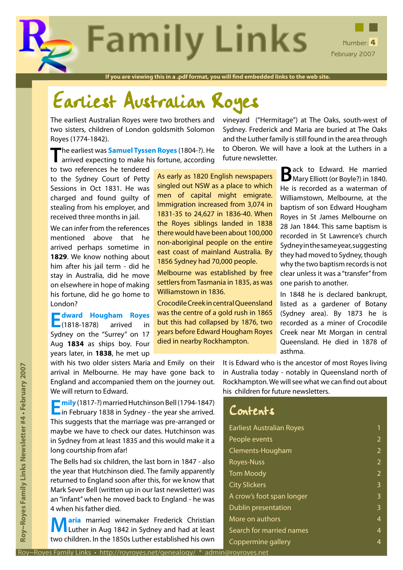**Family Links** Number: 4 February 2007

**If you are viewing this in a .pdf format, you will find embedded links to the web site.**

# Earliest Australian Royes

The earliest Australian Royes were two brothers and two sisters, children of London goldsmith Solomon Royes (1774-1842).

**T**he earliest was **[Samuel Tyssen Royes](http://royroyes.net/genealogy/getperson.php?personID=I543&tree=rr_tree)** (1804-?). He arrived expecting to make his fortune, according

to two references he tendered to the Sydney Court of Petty Sessions in Oct 1831. He was charged and found guilty of stealing from his employer, and received three months in jail.

We can infer from the references mentioned above that he arrived perhaps sometime in **1829**. We know nothing about him after his jail term - did he stay in Australia, did he move on elsewhere in hope of making his fortune, did he go home to London?

**E[dward Hougham Royes](http://royroyes.net/genealogy/getperson.php?personID=I910&tree=rr_tree)**  $\Box$ (1818-1878) Sydney on the "Surrey" on 17 Aug **1834** as ships boy. Four years later, in **1838**, he met up As early as 1820 English newspapers singled out NSW as a place to which men of capital might emigrate. Immigration increased from 3,074 in 1831-35 to 24,627 in 1836-40. When the Royes siblings landed in 1838 there would have been about 100,000 non-aboriginal people on the entire east coast of mainland Australia. By 1856 Sydney had 70,000 people.

Melbourne was established by free settlers from Tasmania in 1835, as was Williamstown in 1836.

Crocodile Creek in central Queensland was the centre of a gold rush in 1865 but this had collapsed by 1876, two years before Edward Hougham Royes died in nearby Rockhampton.

vineyard ("Hermitage") at The Oaks, south-west of Sydney. Frederick and Maria are buried at The Oaks and the Luther family is still found in the area through to Oberon. We will have a look at the Luthers in a future newsletter.

> Back to Edward. He married<br>
> Mary Elliott (or Boyle?) in 1840. He is recorded as a waterman of Williamstown, Melbourne, at the baptism of son Edward Hougham Royes in St James Melbourne on 28 Jan 1844. This same baptism is recorded in St Lawrence's church Sydney in the same year, suggesting they had moved to Sydney, though why the two baptism records is not clear unless it was a "transfer" from one parish to another.

> In 1848 he is declared bankrupt, listed as a gardener of Botany (Sydney area). By 1873 he is recorded as a miner of Crocodile Creek near Mt Morgan in central Queensland. He died in 1878 of asthma.

with his two older sisters Maria and Emily on their arrival in Melbourne. He may have gone back to England and accompanied them on the journey out. We will return to Edward.

**EI[mily](http://royroyes.net/genealogy/getperson.php?personID=I3189&tree=rr_tree)** (1817-?) married Hutchinson Bell (1794-1847)<br>
in February 1838 in Sydney - the year she arrived. This suggests that the marriage was pre-arranged or maybe we have to check our dates. Hutchinson was in Sydney from at least 1835 and this would make it a long courtship from afar!

Royes Family Uniks • http://royroyes.net/genealogy/ \* admin environment and the studies of the studies of the studies of the studies of the Studies of the Studies of the Studies of the Studies of the Studies of the Studies The Bells had six children, the last born in 1847 - also the year that Hutchinson died. The family apparently returned to England soon after this, for we know that Mark Sever Bell (written up in our last newsletter) was an "infant" when he moved back to England - he was 4 when his father died.

**[M](http://royroyes.net/genealogy/getperson.php?personID=I3190&tree=rr_tree)aria** married winemaker Frederick Christian<br>
Luther in Aug 1842 in Sydney and had at least two children. In the 1850s Luther established his own It is Edward who is the ancestor of most Royes living in Australia today - notably in Queensland north of Rockhampton. We will see what we can find out about his children for future newsletters.

| Contents                         |                |
|----------------------------------|----------------|
| <b>Earliest Australian Royes</b> | 1              |
| People events                    | $\overline{2}$ |
| Clements-Hougham                 | $\overline{2}$ |
| <b>Royes-Nuss</b>                | $\overline{2}$ |
| <b>Tom Moody</b>                 | $\overline{2}$ |
| <b>City Slickers</b>             | 3              |
| A crow's foot span longer        | 3              |
| Dublin presentation              | 3              |
| More on authors                  | 4              |
| Search for married names         | 4              |
| Coppermine gallery               | 4              |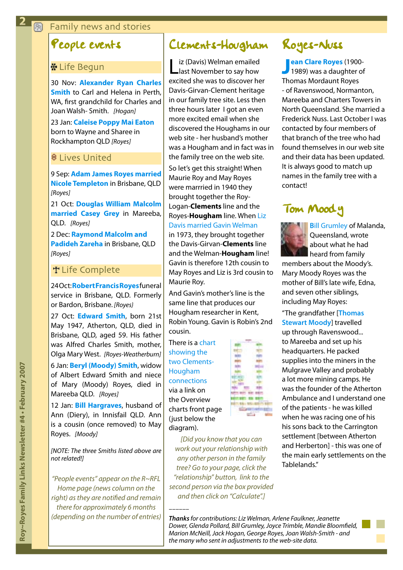### <span id="page-1-0"></span>**图 Family news and stories**

# People events

### **\* Life Begun**

30 Nov: **[Alexander Ryan Charles](http://royroyes.net/genealogy/getperson.php?personID=I1361&tree=rr_tree)  [Smith](http://royroyes.net/genealogy/getperson.php?personID=I1361&tree=rr_tree)** to Carl and Helena in Perth, WA, first grandchild for Charles and Joan Walsh- Smith. *[Hogan]*

23 Jan: **[Caleise Poppy Mai Eaton](http://royroyes.net/genealogy/getperson.php?personID=I1376&tree=rr_tree)** born to Wayne and Sharee in Rockhampton QLD *[Royes]*

#### **8** Lives United

9 Sep: **[Adam James Royes married](http://royroyes.net/genealogy/familygroup.php?familyID=F764&tree=rr_tree)  [Nicole Templeton](http://royroyes.net/genealogy/familygroup.php?familyID=F764&tree=rr_tree)** in Brisbane, QLD *[Royes]*

21 Oct: **[Douglas William Malcolm](http://royroyes.net/genealogy/familygroup.php?familyID=F660&tree=rr_tree)  [married Casey Grey](http://royroyes.net/genealogy/familygroup.php?familyID=F660&tree=rr_tree)** in Mareeba, QLD. *[Royes]*

2 Dec: **[Raymond Malcolm and](http://royroyes.net/genealogy/familygroup.php?familyID=F663&tree=rr_tree)  [Padideh Zareha](http://royroyes.net/genealogy/familygroup.php?familyID=F663&tree=rr_tree)** in Brisbane, QLD *[Royes]*

#### **T** Life Complete

24 Oct: **[Robert Francis Royes](http://royroyes.net/genealogy/getperson.php?personID=I1023&tree=rr_tree)** funeral service in Brisbane, QLD. Formerly or Bardon, Brisbane. *[Royes}*

27 Oct: **[Edward Smith](http://royroyes.net/genealogy/getperson.php?personID=I8259&tree=rr_tree)**, born 21st May 1947, Atherton, QLD, died in Brisbane, QLD, aged 59. His father was Alfred Charles Smith, mother, Olga Mary West. *[Royes-Weatherburn]* 6 Jan: **[Beryl \(Moody\) Smith](http://royroyes.net/genealogy/getperson.php?personID=I8096&tree=rr_tree)**, widow of Albert Edward Smith and niece of Mary (Moody) Royes, died in Mareeba QLD. *[Royes]*

12 Jan: **[Bill Hargraves](http://royroyes.net/genealogy/getperson.php?personID=I1366&tree=rr_tree)**, husband of Ann (Diery), in Innisfail QLD. Ann is a cousin (once removed) to May Royes. *[Moody]*

*[NOTE: The three Smiths listed above are not related!]*

*"People events" appear on the R~RFL Home page (news column on the right) as they are notified and remain there for approximately 6 months (depending on the number of entries)*

# Clements-Hougham

iz (Davis) Welman emailed last November to say how excited she was to discover her Davis-Girvan-Clement heritage in our family tree site. Less then three hours later I got an even more excited email when she discovered the Houghams in our web site - her husband's mother was a Hougham and in fact was in the family tree on the web site. So let's get this straight! When Maurie Roy and May Royes were marrried in 1940 they brought together the Roy-Logan-**Clements** line and the Royes-**Hougham** line. When [Liz](http://royroyes.net/genealogy/familygroup.php?familyID=F2467&tree=rr_tree)  [Davis married Gavin Welman](http://royroyes.net/genealogy/familygroup.php?familyID=F2467&tree=rr_tree)

in 1973, they brought together the Davis-Girvan-**Clements** line and the Welman-**Hougham** line! Gavin is therefore 12th cousin to May Royes and Liz is 3rd cousin to Maurie Roy.

And Gavin's mother's line is the same line that produces our Hougham researcher in Kent, Robin Young. Gavin is Robin's 2nd cousin.

There is a [chart](http://royroyes.net/genealogy/charts/charts_treelinks.php)  [showing the](http://royroyes.net/genealogy/charts/charts_treelinks.php)  [two Clements-](http://royroyes.net/genealogy/charts/charts_treelinks.php)[Hougham](http://royroyes.net/genealogy/charts/charts_treelinks.php)  [connections](http://royroyes.net/genealogy/charts/charts_treelinks.php)

via a link on the Overview charts front page (just below the diagram).

*––––––*

*[Did you know that you can work out your relationship with any other person in the family tree? Go to your page, click the "relationship" button, link to the second person via the box provided and then click on "Calculate".]*

# Royes-Nuss

**J ean Clare Royes** (1900-<br>1989) was a daughter of **[ean Clare Royes](http://royroyes.net/genealogy/getperson.php?personID=I954&tree=rr_tree)** (1900- Thomas Mordaunt Royes - of Ravenswood, Normanton, Mareeba and Charters Towers in North Queensland. She married a Frederick Nuss. Last October I was contacted by four members of that branch of the tree who had found themselves in our web site and their data has been updated. It is always good to match up names in the family tree with a contact!

# Tom Moody



**B**[ill Grumley](http://royroyes.net/genealogy/getperson.php?personID=I362&tree=rr_tree) of Malanda, Queensland, wrote about what he had heard from family

members about the Moody's. Mary Moody Royes was the mother of Bill's late wife, Edna, and seven other siblings, including May Royes:

"The grandfather [**[Thomas](http://royroyes.net/genealogy/getperson.php?personID=I694&tree=rr_tree)  [Stewart Moody](http://royroyes.net/genealogy/getperson.php?personID=I694&tree=rr_tree)**] travelled up through Ravenswood... to Mareeba and set up his headquarters. He packed supplies into the miners in the Mulgrave Valley and probably a lot more mining camps. He was the founder of the Atherton Ambulance and I understand one of the patients - he was killed when he was racing one of his his sons back to the Carrington settlement [between Atherton and Herberton] - this was one of the main early settlements on the Tablelands."

*Thanks for contributions: Liz Welman, Arlene Faulkner, Jeanette Dower, Glenda Pollard, Bill Grumley, Joyce Trimble, Mandie Bloomfield, Marion McNeill, Jack Hogan, George Royes, Joan Walsh-Smith - and the many who sent in adjustments to the web-site data.*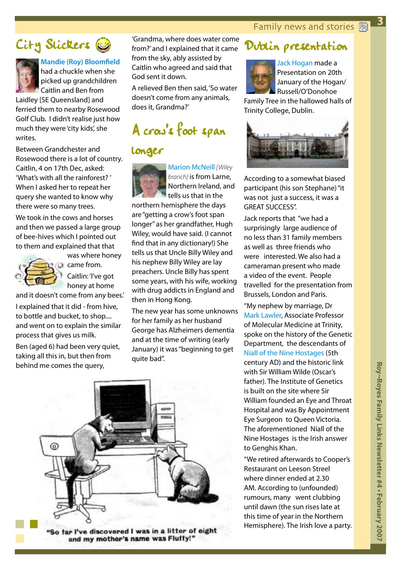**3**

<span id="page-2-0"></span>



## **[Mandie \(Roy\) Bloomfield](http://royroyes.net/genealogy/getperson.php?personID=I842&tree=rr_tree)**

had a chuckle when she picked up grandchildren Caitlin and Ben from

Laidley [SE Queensland] and ferried them to nearby Rosewood Golf Club. I didn't realise just how much they were 'city kids', she writes.

Between Grandchester and Rosewood there is a lot of country. Caitlin, 4 on 17th Dec, asked: 'What's with all the rainforest? ' When I asked her to repeat her query she wanted to know why there were so many trees.

We took in the cows and horses and then we passed a large group of bee-hives which I pointed out to them and explained that that



was where honey  $\omega$  came from. Caitlin: 'I've got honey at home

and it doesn't come from any bees.' I explained that it did - from hive, to bottle and bucket, to shop.... and went on to explain the similar process that gives us milk.

Ben (aged 6) had been very quiet, taking all this in, but then from behind me comes the query,

'Grandma, where does water come from?' and I explained that it came from the sky, ably assisted by Caitlin who agreed and said that God sent it down.

A relieved Ben then said, 'So water doesn't come from any animals, does it, Grandma?'

# A crow's foot span

## longer



[Marion McNeill](http://royroyes.net/genealogy/getperson.php?personID=I5221&tree=rr_tree) *[Wiley branch}* is from Larne, Northern Ireland, and tells us that in the

northern hemisphere the days are "getting a crow's foot span longer" as her grandfather, Hugh Wiley, would have said. (I cannot find that in any dictionary!) She tells us that Uncle Billy Wiley and his nephew Billy Wiley are lay preachers. Uncle Billy has spent some years, with his wife, working with drug addicts in England and then in Hong Kong.

The new year has some unknowns for her family as her husband George has Alzheimers dementia and at the time of writing (early January) it was "beginning to get quite bad".





[Jack Hogan](http://royroyes.net/genealogy/getperson.php?personID=I447&tree=rr_tree) made a Presentation on 20th January of the Hogan/ Russell/O'Donohoe

Family Tree in the hallowed halls of Trinity College, Dublin.



According to a somewhat biased participant (his son Stephane) "it was not just a success, it was a GREAT SUCCESS''.

Jack reports that "we had a surprisingly large audience of no less than 31 family members as well as three friends who were interested. We also had a cameraman present who made a video of the event. People travelled for the presentation from Brussels, London and Paris.

"My nephew by marriage, Dr [Mark Lawler,](http://royroyes.net/genealogy/getperson.php?personID=I1271&tree=rr_tree) Associate Professor of Molecular Medicine at Trinity, spoke on the history of the Genetic Department, the descendants of [Niall of the Nine Hostages](http://en.wikipedia.org/wiki/Niall_of_the_Nine_Hostages) (5th century AD) and the historic link with Sir William Wilde (Oscar's father). The Institute of Genetics is built on the site where Sir William founded an Eye and Throat Hospital and was By Appointment Eye Surgeon to Queen Victoria. The aforementioned Niall of the Nine Hostages is the Irish answer to Genghis Khan.

"We retired afterwards to Cooper's Restaurant on Leeson Streel where dinner ended at 2.30 AM. According to (unfounded) rumours, many went clubbing until dawn (the sun rises late at this time of year in the Northern Hemisphere). The Irish love a party.



and my mother's name was Fluffy!"